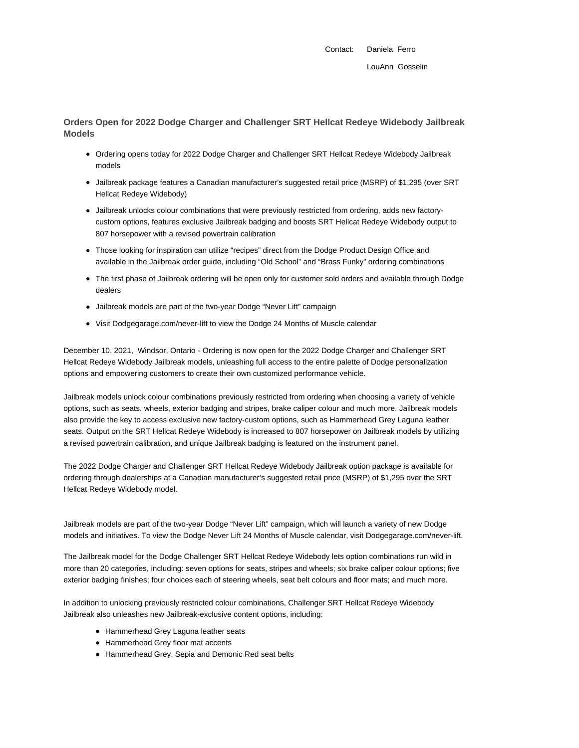Contact: Daniela Ferro LouAnn Gosselin

**Orders Open for 2022 Dodge Charger and Challenger SRT Hellcat Redeye Widebody Jailbreak Models**

- Ordering opens today for 2022 Dodge Charger and Challenger SRT Hellcat Redeye Widebody Jailbreak models
- Jailbreak package features a Canadian manufacturer's suggested retail price (MSRP) of \$1,295 (over SRT Hellcat Redeye Widebody)
- Jailbreak unlocks colour combinations that were previously restricted from ordering, adds new factorycustom options, features exclusive Jailbreak badging and boosts SRT Hellcat Redeye Widebody output to 807 horsepower with a revised powertrain calibration
- Those looking for inspiration can utilize "recipes" direct from the Dodge Product Design Office and available in the Jailbreak order guide, including "Old School" and "Brass Funky" ordering combinations
- The first phase of Jailbreak ordering will be open only for customer sold orders and available through Dodge dealers
- Jailbreak models are part of the two-year Dodge "Never Lift" campaign
- Visit Dodgegarage.com/never-lift to view the Dodge 24 Months of Muscle calendar

December 10, 2021, Windsor, Ontario - Ordering is now open for the 2022 Dodge Charger and Challenger SRT Hellcat Redeye Widebody Jailbreak models, unleashing full access to the entire palette of Dodge personalization options and empowering customers to create their own customized performance vehicle.

Jailbreak models unlock colour combinations previously restricted from ordering when choosing a variety of vehicle options, such as seats, wheels, exterior badging and stripes, brake caliper colour and much more. Jailbreak models also provide the key to access exclusive new factory-custom options, such as Hammerhead Grey Laguna leather seats. Output on the SRT Hellcat Redeye Widebody is increased to 807 horsepower on Jailbreak models by utilizing a revised powertrain calibration, and unique Jailbreak badging is featured on the instrument panel.

The 2022 Dodge Charger and Challenger SRT Hellcat Redeye Widebody Jailbreak option package is available for ordering through dealerships at a Canadian manufacturer's suggested retail price (MSRP) of \$1,295 over the SRT Hellcat Redeye Widebody model.

Jailbreak models are part of the two-year Dodge "Never Lift" campaign, which will launch a variety of new Dodge models and initiatives. To view the Dodge Never Lift 24 Months of Muscle calendar, visit Dodgegarage.com/never-lift.

The Jailbreak model for the Dodge Challenger SRT Hellcat Redeye Widebody lets option combinations run wild in more than 20 categories, including: seven options for seats, stripes and wheels; six brake caliper colour options; five exterior badging finishes; four choices each of steering wheels, seat belt colours and floor mats; and much more.

In addition to unlocking previously restricted colour combinations, Challenger SRT Hellcat Redeye Widebody Jailbreak also unleashes new Jailbreak-exclusive content options, including:

- Hammerhead Grey Laguna leather seats
- Hammerhead Grey floor mat accents
- Hammerhead Grey, Sepia and Demonic Red seat belts